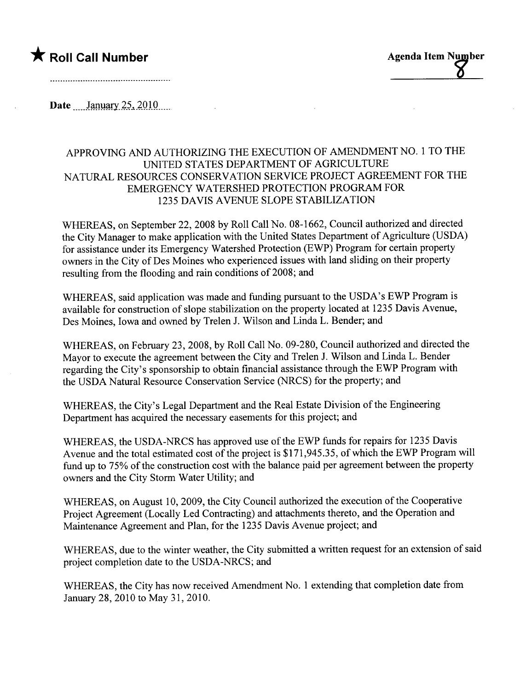## $\bigstar$  Roll Call Number  $\bigstar$  Roll Call Number

and a complete the contract of the complete the contract of the complete the complete the complete that the co

Date January  $25,2010$ 

### APPROVING AND AUTHORIZING THE EXECUTION OF AMENDMENT NO.1 TO THE UNITED STATES DEPARTMENT OF AGRICULTURE NATURAL RESOURCES CONSERVATION SERVICE PROJECT AGREEMENT FOR THE EMERGENCY WATERSHED PROTECTION PROGRAM FOR 1235 DAVIS AVENUE SLOPE STABILIZATION

WHEREAS, on September 22, 2008 by Roll Call No. 08-1662, Council authorized and directed the City Manager to make application with the United States Deparment of Agriculture (USDA) for assistance under its Emergency Watershed Protection (EWP) Program for certain property owners in the City of Des Moines who experienced issues with land sliding on their property resulting from the flooding and rain conditions of 2008; and

WHEREAS, said application was made and fuding pursuant to the USDA's EWP Program is available for construction of slope stabilization on the property located at 1235 Davis Avenue, Des Moines, Iowa and owned by Trelen 1. Wilson and Linda L. Bender; and

WHEREAS, on February 23, 2008, by Roll Call No. 09-280, Council authorized and directed the Mayor to execute the agreement between the City and Trelen J. Wilson and Linda L. Bender regarding the City's sponsorship to obtain financial assistance through the EWP Program with the USDA Natural Resource Conservation Service (NRCS) for the property; and

WHEREAS, the City's Legal Department and the Real Estate Division of the Engineering Deparment has acquired the necessary easements for this project; and

WHEREAS, the USDA-NRCS has approved use of the EWP funds for repairs for 1235 Davis Avenue and the total estimated cost of the project is \$171,945.35, of which the EWP Program will fund up to 75% of the construction cost with the balance paid per agreement between the property owners and the City Storm Water Utility; and

WHEREAS, on August 10,2009, the City Council authorized the execution of the Cooperative Project Agreement (Locally Led Contracting) and attachments thereto, and the Operation and Maintenance Agreement and Plan, for the 1235 Davis Avenue project; and

WHEREAS, due to the winter weather, the City submitted a written request for an extension of said project completion date to the USDA-NRCS; and

WHEREAS, the City has now received Amendment No. 1 extending that completion date from January 28, 2010 to May 31, 2010.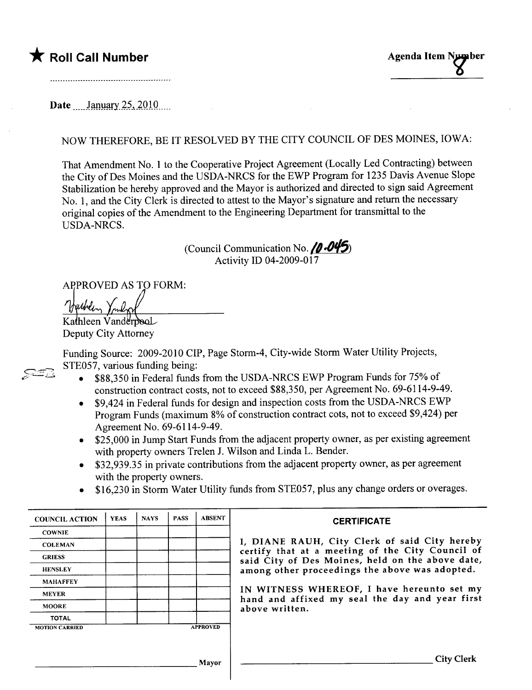# the Roll Call Number Agenda Item Number Agenda Item Number

#### Date January  $25, 2010$

### NOW THEREFORE, BE IT RESOLVED BY THE CITY COUNCIL OF DES MOINES, IOWA:

That Amendment No.1 to the Cooperative Project Agreement (Locally Led Contracting) between the City of Des Moines and the USDA-NRCS for the EWP Program for 1235 Davis Avenue Slope Stabilization be hereby approved and the Mayor is authorized and directed to sign said Agreement No.1, and the City Clerk is directed to attest to the Mayor's signature and return the necessary original copies of the Amendment to the Engineering Department for transmittal to the USDA-NRCS.

> (Council Communication No.  $/0.045$ ) Activity ID 04-2009-017

APPROVED AS TO FORM:<br> *Neublin*, *Youlen*<br>
Kathleen Vanderpool

Deputy City Attorney

 $\mathcal{Z}$ 

Funding Source: 2009-2010 CIP, Page Storm-4, City-wide Storm Water Utility Projects, STE057, various funding being:

- . \$88,350 in Federal funds from the USDA-NRCS EWP Program Funds for 75% of construction contract costs, not to exceed \$88,350, per Agreement No. 69-6114-9-49.
- . \$9,424 in Federal funds for design and inspection costs from the USDA-NRCS EWP Program Funds (maximum 8% of construction contract cots, not to exceed \$9,424) per Agreement No. 69-6114-9-49.
- . \$25,000 in Jump Start Funds from the adjacent property owner, as per existing agreement with property owners Trelen J. Wilson and Linda L. Bender.
- . \$32,939.35 in private contributions from the adjacent property owner, as per agreement with the property owners.
- . \$16,230 in Storm Water Utility funds from STE057, plus any change orders or overages.

| <b>COUNCIL ACTION</b> | <b>YEAS</b> | <b>NAYS</b> | <b>PASS</b> | <b>ABSENT</b>   | <b>CERTIFICATE</b>                                                                                                                                                                                                                                                                                                         |
|-----------------------|-------------|-------------|-------------|-----------------|----------------------------------------------------------------------------------------------------------------------------------------------------------------------------------------------------------------------------------------------------------------------------------------------------------------------------|
| <b>COWNIE</b>         |             |             |             |                 | I, DIANE RAUH, City Clerk of said City hereby<br>certify that at a meeting of the City Council of<br>said City of Des Moines, held on the above date,<br>among other proceedings the above was adopted.<br>IN WITNESS WHEREOF, I have hereunto set my<br>hand and affixed my seal the day and year first<br>above written. |
| <b>COLEMAN</b>        |             |             |             |                 |                                                                                                                                                                                                                                                                                                                            |
| <b>GRIESS</b>         |             |             |             |                 |                                                                                                                                                                                                                                                                                                                            |
| <b>HENSLEY</b>        |             |             |             |                 |                                                                                                                                                                                                                                                                                                                            |
| <b>MAHAFFEY</b>       |             |             |             |                 |                                                                                                                                                                                                                                                                                                                            |
| <b>MEYER</b>          |             |             |             |                 |                                                                                                                                                                                                                                                                                                                            |
| <b>MOORE</b>          |             |             |             |                 |                                                                                                                                                                                                                                                                                                                            |
| <b>TOTAL</b>          |             |             |             |                 |                                                                                                                                                                                                                                                                                                                            |
| <b>MOTION CARRIED</b> |             |             |             | <b>APPROVED</b> |                                                                                                                                                                                                                                                                                                                            |
|                       |             |             |             |                 |                                                                                                                                                                                                                                                                                                                            |
|                       |             |             |             | Mayor           | <b>City Clerk</b>                                                                                                                                                                                                                                                                                                          |